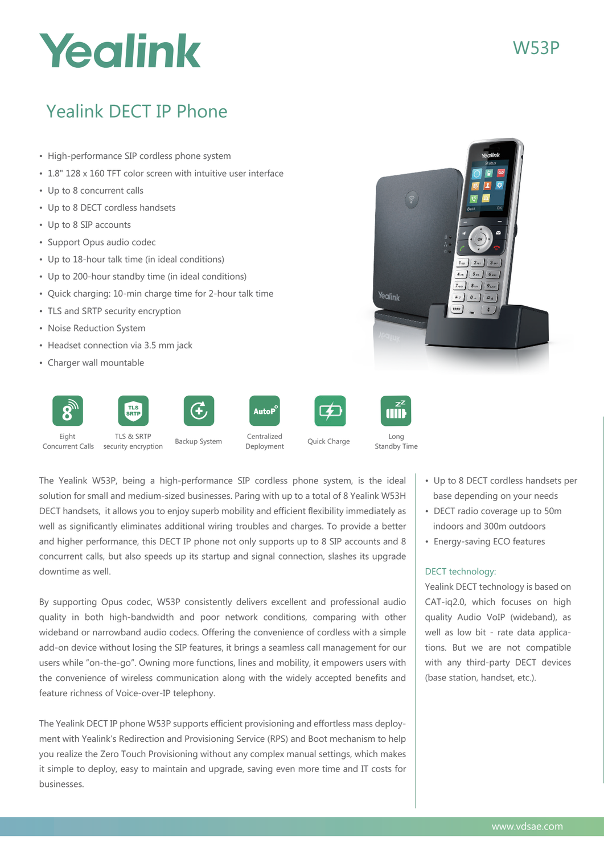# Yealink

## Yealink DECT IP Phone

- High-performance SIP cordless phone system
- 1.8" 128 x 160 TFT color screen with intuitive user interface
- Up to 8 concurrent calls
- Up to 8 DECT cordless handsets
- Up to 8 SIP accounts
- Support Opus audio codec
- Up to 18-hour talk time (in ideal conditions)
- Up to 200-hour standby time (in ideal conditions)
- Quick charging: 10-min charge time for 2-hour talk time
- TLS and SRTP security encryption
- Noise Reduction System
- Headset connection via 3.5 mm jack
- Charger wall mountable



The Yealink W53P, being a high-performance SIP cordless phone system, is the ideal solution for small and medium-sized businesses. Paring with up to a total of 8 Yealink W53H DECT handsets, it allows you to enjoy superb mobility and efficient flexibility immediately as well as significantly eliminates additional wiring troubles and charges. To provide a better and higher performance, this DECT IP phone not only supports up to 8 SIP accounts and 8 concurrent calls, but also speeds up its startup and signal connection, slashes its upgrade downtime as well.

By supporting Opus codec, W53P consistently delivers excellent and professional audio quality in both high-bandwidth and poor network conditions, comparing with other wideband or narrowband audio codecs. Offering the convenience of cordless with a simple add-on device without losing the SIP features, it brings a seamless call management for our users while "on-the-go". Owning more functions, lines and mobility, it empowers users with the convenience of wireless communication along with the widely accepted benefits and feature richness of Voice-over-IP telephony.

The Yealink DECT IP phone W53P supports efficient provisioning and effortless mass deployment with Yealink's Redirection and Provisioning Service (RPS) and Boot mechanism to help you realize the Zero Touch Provisioning without any complex manual settings, which makes it simple to deploy, easy to maintain and upgrade, saving even more time and IT costs for businesses.

- Up to 8 DECT cordless handsets per base depending on your needs
- DECT radio coverage up to 50m indoors and 300m outdoors
- Energy-saving ECO features

## DECT technology:

Yealink

Yealink DECT technology is based on CAT-iq2.0, which focuses on high quality Audio VoIP (wideband), as well as low bit - rate data applications. But we are not compatible with any third-party DECT devices (base station, handset, etc.).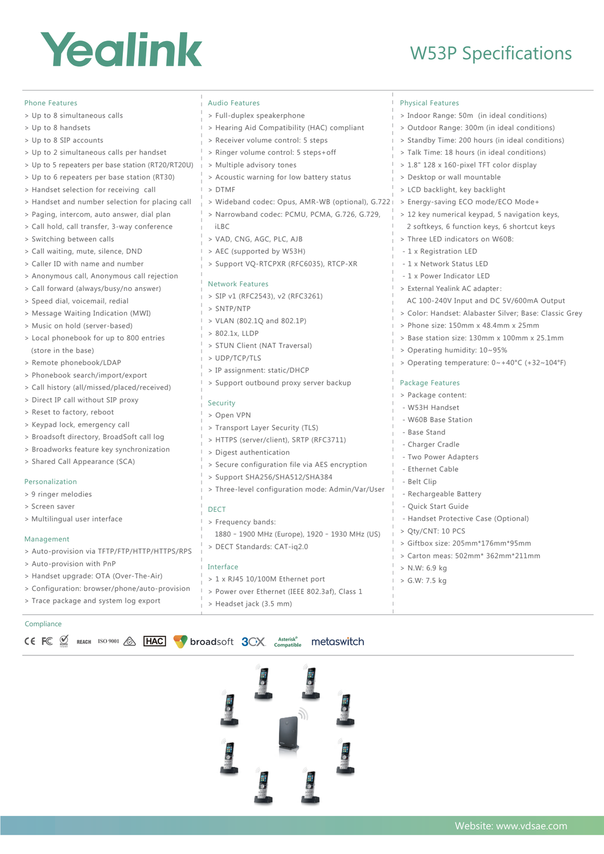## Yealink

## W53P Specifications

| <b>Phone Features</b>                             | <b>Audio Features</b>                            | <b>Physical Features</b>                               |
|---------------------------------------------------|--------------------------------------------------|--------------------------------------------------------|
| > Up to 8 simultaneous calls                      | > Full-duplex speakerphone                       | > Indoor Range: 50m (in ideal conditions)              |
| > Up to 8 handsets                                | > Hearing Aid Compatibility (HAC) compliant      | > Outdoor Range: 300m (in ideal conditions)            |
| > Up to 8 SIP accounts                            | > Receiver volume control: 5 steps               | > Standby Time: 200 hours (in ideal conditions)        |
| > Up to 2 simultaneous calls per handset          | > Ringer volume control: 5 steps+off             | > Talk Time: 18 hours (in ideal conditions)            |
| > Up to 5 repeaters per base station (RT20/RT20U) | > Multiple advisory tones                        | > 1.8" 128 x 160-pixel TFT color display               |
| > Up to 6 repeaters per base station (RT30)       | > Acoustic warning for low battery status        | > Desktop or wall mountable                            |
| > Handset selection for receiving call            | >DTMF                                            | > LCD backlight, key backlight                         |
| > Handset and number selection for placing call   | > Wideband codec: Opus, AMR-WB (optional), G.722 | > Energy-saving ECO mode/ECO Mode+                     |
| > Paging, intercom, auto answer, dial plan        | > Narrowband codec: PCMU, PCMA, G.726, G.729,    | > 12 key numerical keypad, 5 navigation keys,          |
| > Call hold, call transfer, 3-way conference      | iLBC                                             | 2 softkeys, 6 function keys, 6 shortcut keys           |
| > Switching between calls                         | > VAD, CNG, AGC, PLC, AJB                        | > Three LED indicators on W60B:                        |
| > Call waiting, mute, silence, DND                | > AEC (supported by W53H)                        | - 1 x Registration LED                                 |
| > Caller ID with name and number                  | > Support VQ-RTCPXR (RFC6035), RTCP-XR           | - 1 x Network Status LED                               |
| > Anonymous call, Anonymous call rejection        |                                                  | - 1 x Power Indicator LED                              |
| > Call forward (always/busy/no answer)            | <b>Network Features</b>                          | > External Yealink AC adapter:                         |
| > Speed dial, voicemail, redial                   | > SIP v1 (RFC2543), v2 (RFC3261)                 | AC 100-240V Input and DC 5V/600mA Output               |
| > Message Waiting Indication (MWI)                | > SNTP/NTP                                       | > Color: Handset: Alabaster Silver; Base: Classic Grey |
| > Music on hold (server-based)                    | > VLAN (802.1Q and 802.1P)                       | > Phone size: 150mm x 48.4mm x 25mm                    |
| > Local phonebook for up to 800 entries           | > 802.1x, LLDP                                   | > Base station size: 130mm x 100mm x 25.1mm            |
| (store in the base)                               | > STUN Client (NAT Traversal)                    | > Operating humidity: 10~95%                           |
| > Remote phonebook/LDAP                           | > UDP/TCP/TLS                                    | > Operating temperature: 0~+40°C (+32~104°F)           |
| > Phonebook search/import/export                  | > IP assignment: static/DHCP                     |                                                        |
| > Call history (all/missed/placed/received)       | > Support outbound proxy server backup           | Package Features                                       |
| > Direct IP call without SIP proxy                | Security                                         | > Package content:                                     |
| > Reset to factory, reboot                        | > Open VPN                                       | - W53H Handset                                         |
| > Keypad lock, emergency call                     | > Transport Layer Security (TLS)                 | - W60B Base Station                                    |
| > Broadsoft directory, BroadSoft call log         | > HTTPS (server/client), SRTP (RFC3711)          | - Base Stand                                           |
| > Broadworks feature key synchronization          | > Digest authentication                          | - Charger Cradle                                       |
| > Shared Call Appearance (SCA)                    | > Secure configuration file via AES encryption   | - Two Power Adapters                                   |
|                                                   | > Support SHA256/SHA512/SHA384                   | - Ethernet Cable                                       |
| Personalization                                   | > Three-level configuration mode: Admin/Var/User | - Belt Clip                                            |
| > 9 ringer melodies                               |                                                  | - Rechargeable Battery                                 |
| > Screen saver                                    | <b>DECT</b>                                      | - Quick Start Guide                                    |
| > Multilingual user interface                     | > Frequency bands:                               | - Handset Protective Case (Optional)                   |
| Management                                        | 1880 - 1900 MHz (Europe), 1920 - 1930 MHz (US)   | > Qty/CNT: 10 PCS                                      |
| > Auto-provision via TFTP/FTP/HTTP/HTTPS/RPS      | > DECT Standards: CAT-ig2.0                      | > Giftbox size: 205mm*176mm*95mm                       |
| > Auto-provision with PnP                         |                                                  | > Carton meas: 502mm* 362mm*211mm                      |
| > Handset upgrade: OTA (Over-The-Air)             | Interface                                        | > N.W: 6.9 kg                                          |
| > Configuration: browser/phone/auto-provision     | > 1 x RJ45 10/100M Ethernet port                 | > G.W: 7.5 kg                                          |
| > Trace package and system log export             | > Power over Ethernet (IEEE 802.3af), Class 1    |                                                        |
|                                                   | > Headset jack (3.5 mm)                          |                                                        |

#### Compliance

CE FC SE REACH ISO 9001 A HAC broadsoft 3CX. Asterisk<sup>e</sup> metaswitch